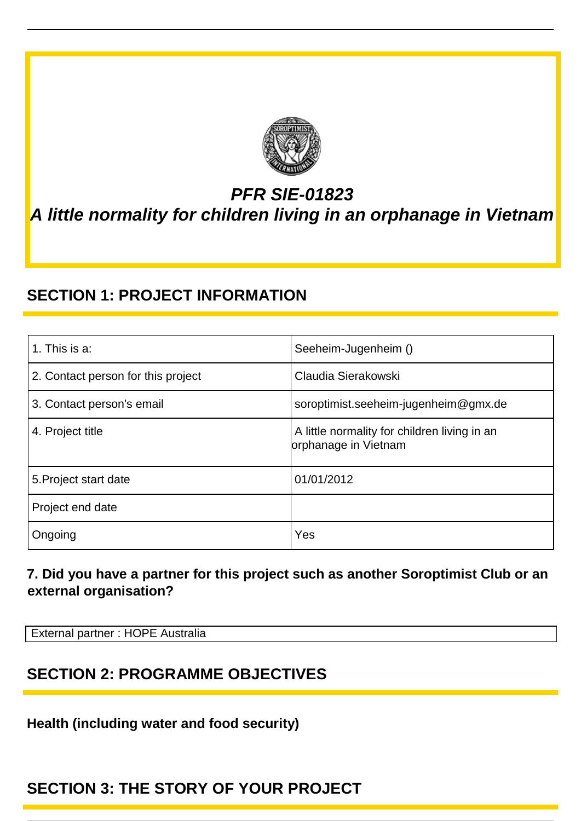

# *PFR SIE-01823 A little normality for children living in an orphanage in Vietnam*

### **SECTION 1: PROJECT INFORMATION**

| 1. This is a:                      | Seeheim-Jugenheim ()                                                 |
|------------------------------------|----------------------------------------------------------------------|
| 2. Contact person for this project | Claudia Sierakowski                                                  |
| 3. Contact person's email          | soroptimist.seeheim-jugenheim@gmx.de                                 |
| 4. Project title                   | A little normality for children living in an<br>orphanage in Vietnam |
| 5. Project start date              | 01/01/2012                                                           |
| Project end date                   |                                                                      |
| Ongoing                            | Yes                                                                  |

#### **7. Did you have a partner for this project such as another Soroptimist Club or an external organisation?**

External partner : HOPE Australia

#### **SECTION 2: PROGRAMME OBJECTIVES**

**Health (including water and food security)**

#### **SECTION 3: THE STORY OF YOUR PROJECT**